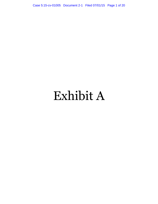Case 5:15-cv-01005 Document 2-1 Filed 07/01/15 Page 1 of 20

# Exhibit A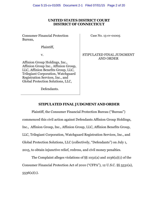## **UNITED STATES DISTRICT COURT DISTRICT OF CONNECTICUT**

Consumer Financial Protection Bureau,

Case No. 15-cv-01005

Plaintiff,

v.

Affinion Group Holdings, Inc., Affinion Group Inc., Affinion Group, LLC, Affinion Benefits Group, LLC, Trilegiant Corporation, Watchguard Registration Services, Inc., and Global Protection Solutions, LLC,

STIPULATED FINAL JUDGMENT AND ORDER

Defendants.

# **STIPULATED FINAL JUDGMENT AND ORDER**

Plaintiff, the Consumer Financial Protection Bureau ("Bureau") commenced this civil action against Defendants Affinion Group Holdings, Inc., Affinion Group, Inc., Affinion Group, LLC, Affinion Benefits Group, LLC, Trilegiant Corporation, Watchguard Registration Services, Inc., and Global Protection Solutions, LLC (collectively, "Defendants") on July 1, 2015, to obtain injunctive relief, redress, and civil money penalties.

The Complaint alleges violations of §§ 1031(a) and 1036(a)(1) of the Consumer Financial Protection Act of 2010 ("CFPA"), 12 U.S.C. §§ 5531(a), 5536(a)(1).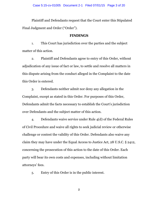Plaintiff and Defendants request that the Court enter this Stipulated Final Judgment and Order ("Order").

#### **FINDINGS**

1. This Court has jurisdiction over the parties and the subject matter of this action.

2. Plaintiff and Defendants agree to entry of this Order, without adjudication of any issue of fact or law, to settle and resolve all matters in this dispute arising from the conduct alleged in the Complaint to the date this Order is entered.

3. Defendants neither admit nor deny any allegation in the Complaint, except as stated in this Order. For purposes of this Order, Defendants admit the facts necessary to establish the Court's jurisdiction over Defendants and the subject matter of this action.

4. Defendants waive service under Rule 4(d) of the Federal Rules of Civil Procedure and waive all rights to seek judicial review or otherwise challenge or contest the validity of this Order. Defendants also waive any claim they may have under the Equal Access to Justice Act, 28 U.S.C. § 2412, concerning the prosecution of this action to the date of this Order. Each party will bear its own costs and expenses, including without limitation attorneys' fees.

5. Entry of this Order is in the public interest.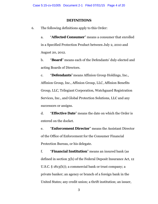## **DEFINITIONS**

6. The following definitions apply to this Order:

a. "**Affected Consumer**" means a consumer that enrolled in a Specified Protection Product between July 2, 2010 and August 20, 2012.

b. "**Board**" means each of the Defendants' duly-elected and acting Boards of Directors.

c. "**Defendants**" means Affinion Group Holdings, Inc., Affinion Group, Inc., Affinion Group, LLC, Affinion Benefits Group, LLC, Trilegiant Corporation, Watchguard Registration Services, Inc., and Global Protection Solutions, LLC and any successors or assigns.

d. "**Effective Date**" means the date on which the Order is entered on the docket.

e. "**Enforcement Director**" means the Assistant Director of the Office of Enforcement for the Consumer Financial Protection Bureau, or his delegate.

f. "**Financial Institution**" means an insured bank (as defined in section 3(h) of the Federal Deposit Insurance Act, 12 U.S.C. § 1813(h)); a commercial bank or trust company; a private banker; an agency or branch of a foreign bank in the United States; any credit union; a thrift institution; an issuer,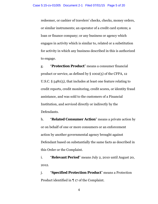redeemer, or cashier of travelers' checks, checks, money orders, or similar instruments; an operator of a credit card system; a loan or finance company; or any business or agency which engages in activity which is similar to, related or a substitution for activity in which any business described in this is authorized to engage.

g. "**Protection Product**" means a consumer financial product or service, as defined by § 1002(5) of the CFPA, 12 U.S.C. § 5481(5), that includes at least one feature relating to credit reports, credit monitoring, credit scores, or identity fraud assistance, and was sold to the customers of a Financial Institution, and serviced directly or indirectly by the Defendants.

h. "**Related Consumer Action**" means a private action by or on behalf of one or more consumers or an enforcement action by another governmental agency brought against Defendant based on substantially the same facts as described in this Order or the Complaint.

i. "**Relevant Period**" means July 2, 2010 until August 20, 2012.

j. "**Specified Protection Product**" means a Protection Product identified in ¶ 17 of the Complaint.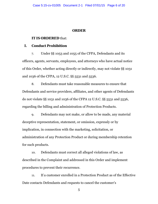### **ORDER**

#### **IT IS ORDERED** that:

# **I. Conduct Prohibition**

7. Under §§ 1053 and 1055 of the CFPA, Defendants and its officers, agents, servants, employees, and attorneys who have actual notice of this Order, whether acting directly or indirectly, may not violate §§ 1031 and 1036 of the CFPA, 12 U.S.C. §§ 5531 and 5536.

8. Defendants must take reasonable measures to ensure that Defendants and service providers, affiliates, and other agents of Defendants do not violate §§ 1031 and 1036 of the CFPA 12 U.S.C. §§ 5531 and 5536, regarding the billing and administration of Protection Products.

9. Defendants may not make, or allow to be made, any material deceptive representation, statement, or omission, expressly or by implication, in connection with the marketing, solicitation, or administration of any Protection Product or during membership retention for such products.

10. Defendants must correct all alleged violations of law, as described in the Complaint and addressed in this Order and implement procedures to prevent their recurrence.

11. If a customer enrolled in a Protection Product as of the Effective Date contacts Defendants and requests to cancel the customer's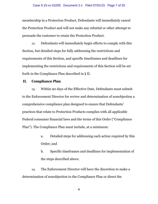#### Case 5:15-cv-01005 Document 2-1 Filed 07/01/15 Page 7 of 20

membership in a Protection Product, Defendants will immediately cancel the Protection Product and will not make any rebuttal or other attempt to persuade the customer to retain the Protection Product.

12. Defendants will immediately begin efforts to comply with this Section, but detailed steps for fully addressing the restrictions and requirements of this Section, and specific timeframes and deadlines for implementing the restrictions and requirements of this Section will be set forth in the Compliance Plan described in § II.

## **II. Compliance Plan**

13. Within 90 days of the Effective Date, Defendants must submit to the Enforcement Director for review and determination of nonobjection a comprehensive compliance plan designed to ensure that Defendants' practices that relate to Protection Products complies with all applicable Federal consumer financial laws and the terms of this Order ("Compliance Plan"). The Compliance Plan must include, at a minimum:

- a. Detailed steps for addressing each action required by this Order; and
- b. Specific timeframes and deadlines for implementation of the steps described above.

14. The Enforcement Director will have the discretion to make a determination of nonobjection to the Compliance Plan or direct the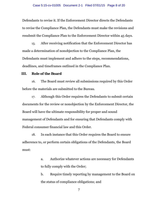Defendants to revise it. If the Enforcement Director directs the Defendants to revise the Compliance Plan, the Defendants must make the revisions and resubmit the Compliance Plan to the Enforcement Director within 45 days.

15. After receiving notification that the Enforcement Director has made a determination of nonobjection to the Compliance Plan, the Defendants must implement and adhere to the steps, recommendations, deadlines, and timeframes outlined in the Compliance Plan.

#### **III. Role of the Board**

16. The Board must review all submissions required by this Order before the materials are submitted to the Bureau.

17. Although this Order requires the Defendants to submit certain documents for the review or nonobjection by the Enforcement Director, the Board will have the ultimate responsibility for proper and sound management of Defendants and for ensuring that Defendants comply with Federal consumer financial law and this Order.

18. In each instance that this Order requires the Board to ensure adherence to, or perform certain obligations of the Defendants, the Board must:

> a. Authorize whatever actions are necessary for Defendants to fully comply with the Order;

b. Require timely reporting by management to the Board on the status of compliance obligations; and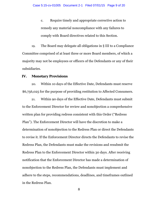c. Require timely and appropriate corrective action to remedy any material noncompliance with any failures to comply with Board directives related to this Section.

19. The Board may delegate all obligations in § III to a Compliance Committee comprised of at least three or more Board members, of which a majority may not be employees or officers of the Defendants or any of their subsidiaries.

#### **IV. Monetary Provisions**

20. Within 10 days of the Effective Date, Defendants must reserve \$6,756,025 for the purpose of providing restitution to Affected Consumers.

21. Within 90 days of the Effective Date, Defendants must submit to the Enforcement Director for review and nonobjection a comprehensive written plan for providing redress consistent with this Order ("Redress Plan"). The Enforcement Director will have the discretion to make a determination of nonobjection to the Redress Plan or direct the Defendants to revise it. If the Enforcement Director directs the Defendants to revise the Redress Plan, the Defendants must make the revisions and resubmit the Redress Plan to the Enforcement Director within 30 days. After receiving notification that the Enforcement Director has made a determination of nonobjection to the Redress Plan, the Defendants must implement and adhere to the steps, recommendations, deadlines, and timeframes outlined in the Redress Plan.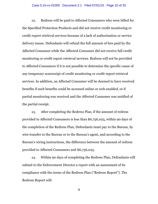22. Redress will be paid to Affected Consumers who were billed for the Specified Protection Products and did not receive credit monitoring or credit report retrieval services because of a lack of authorization or service delivery issues. Defendants will refund the full amount of fees paid by the Affected Consumer while the Affected Consumer did not receive full credit monitoring or credit report retrieval services. Redress will not be provided to Affected Consumers if it is not possible to determine the specific cause of any temporary nonreceipt of credit monitoring or credit report retrieval services. In addition, an Affected Consumer will be deemed to have received benefits if such benefits could be accessed online or web-enabled, or if partial monitoring was received and the Affected Consumer was notified of the partial receipt.

23. After completing the Redress Plan, if the amount of redress provided to Affected Consumers is less than \$6,756,025, within 90 days of the completion of the Redress Plan, Defendants must pay to the Bureau, by wire transfer to the Bureau or to the Bureau's agent, and according to the Bureau's wiring instructions, the difference between the amount of redress provided to Affected Consumers and \$6,756,025.

24. Within 90 days of completing the Redress Plan, Defendants will submit to the Enforcement Director a report with an assessment of its compliance with the terms of the Redress Plan ("Redress Report"). The Redress Report will: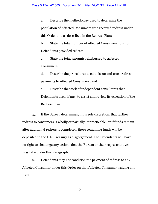a. Describe the methodology used to determine the population of Affected Consumers who received redress under this Order and as described in the Redress Plan;

b. State the total number of Affected Consumers to whom Defendants provided redress;

c. State the total amounts reimbursed to Affected Consumers;

d. Describe the procedures used to issue and track redress payments to Affected Consumers; and

e. Describe the work of independent consultants that Defendants used, if any, to assist and review its execution of the Redress Plan.

25. If the Bureau determines, in its sole discretion, that further redress to consumers is wholly or partially impracticable, or if funds remain after additional redress is completed, those remaining funds will be deposited in the U.S. Treasury as disgorgement. The Defendants will have no right to challenge any actions that the Bureau or their representatives may take under this Paragraph.

26. Defendants may not condition the payment of redress to any Affected Consumer under this Order on that Affected Consumer waiving any right.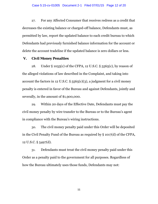27. For any Affected Consumer that receives redress as a credit that decreases the existing balance or charged-off balance, Defendants must, as permitted by law, report the updated balance to each credit bureau to which Defendants had previously furnished balance information for the account or delete the account tradeline if the updated balance is zero dollars or less.

## **V. Civil Money Penalties**

28. Under § 1055(c) of the CFPA, 12 U.S.C. § 5565(c), by reason of the alleged violations of law described in the Complaint, and taking into account the factors in 12 U.S.C.  $\S$  5565(c)(3), a judgment for a civil money penalty is entered in favor of the Bureau and against Defendants, jointly and severally, in the amount of \$1,900,000.

29. Within 20 days of the Effective Date, Defendants must pay the civil money penalty by wire transfer to the Bureau or to the Bureau's agent in compliance with the Bureau's wiring instructions.

30. The civil money penalty paid under this Order will be deposited in the Civil Penalty Fund of the Bureau as required by § 1017(d) of the CFPA, 12 U.S.C. § 5497(d).

31. Defendants must treat the civil money penalty paid under this Order as a penalty paid to the government for all purposes. Regardless of how the Bureau ultimately uses those funds, Defendants may not: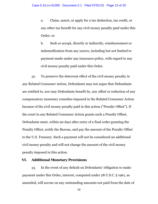a. Claim, assert, or apply for a tax deduction, tax credit, or any other tax benefit for any civil money penalty paid under this Order; or

b. Seek or accept, directly or indirectly, reimbursement or indemnification from any source, including but not limited to payment made under any insurance policy, with regard to any civil money penalty paid under this Order.

32. To preserve the deterrent effect of the civil money penalty in any Related Consumer Action, Defendants may not argue that Defendants are entitled to, nor may Defendants benefit by, any offset or reduction of any compensatory monetary remedies imposed in the Related Consumer Action because of the civil money penalty paid in this action ("Penalty Offset"). If the court in any Related Consumer Action grants such a Penalty Offset, Defendants must, within 90 days after entry of a final order granting the Penalty Offset, notify the Bureau, and pay the amount of the Penalty Offset to the U.S. Treasury. Such a payment will not be considered an additional civil money penalty and will not change the amount of the civil money penalty imposed in this action.

# **VI. Additional Monetary Provisions**

33. In the event of any default on Defendants' obligation to make payment under this Order, interest, computed under 28 U.S.C. § 1961, as amended, will accrue on any outstanding amounts not paid from the date of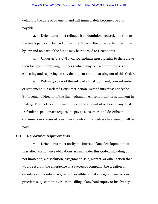default to the date of payment, and will immediately become due and payable.

34. Defendants must relinquish all dominion, control, and title to the funds paid or to be paid under this Order to the fullest extent permitted by law and no part of the funds may be returned to Defendants.

35. Under 31 U.S.C. § 7701, Defendants must furnish to the Bureau their taxpayer identifying numbers, which may be used for purposes of collecting and reporting on any delinquent amount arising out of this Order.

36. Within 30 days of the entry of a final judgment, consent order, or settlement in a Related Consumer Action, Defendants must notify the Enforcement Director of the final judgment, consent order, or settlement in writing. That notification must indicate the amount of redress, if any, that Defendants paid or are required to pay to consumers and describe the consumers or classes of consumers to whom that redress has been or will be paid.

## <span id="page-13-1"></span>**VII. Reporting Requirements**

<span id="page-13-0"></span>37. Defendants must notify the Bureau of any development that may affect compliance obligations arising under this Order, including but not limited to, a dissolution, assignment, sale, merger, or other action that would result in the emergence of a successor company; the creation or dissolution of a subsidiary, parent, or affiliate that engages in any acts or practices subject to this Order; the filing of any bankruptcy or insolvency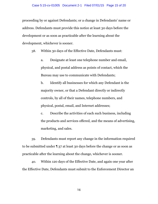proceeding by or against Defendants; or a change in Defendants' name or address. Defendants must provide this notice at least 30 days before the development or as soon as practicable after the learning about the development, whichever is sooner.

38. Within 30 days of the Effective Date, Defendants must:

a. Designate at least one telephone number and email, physical, and postal address as points of contact, which the Bureau may use to communicate with Defendants;

b. Identify all businesses for which any Defendant is the majority owner, or that a Defendant directly or indirectly controls, by all of their names, telephone numbers, and physical, postal, email, and Internet addresses;

c. Describe the activities of each such business, including the products and services offered, and the means of advertising, marketing, and sales.

39. Defendants must report any change in the information required to be submitted under ¶ [37](#page-13-0) at least 30 days before the change or as soon as practicable after the learning about the change, whichever is sooner.

40. Within 120 days of the Effective Date, and again one year after the Effective Date, Defendants must submit to the Enforcement Director an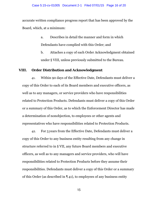#### Case 5:15-cv-01005 Document 2-1 Filed 07/01/15 Page 16 of 20

accurate written compliance progress report that has been approved by the Board, which, at a minimum:

- a. Describes in detail the manner and form in which Defendants have complied with this Order; and
- b. Attaches a copy of each Order Acknowledgment obtained under § [VIII,](#page-15-0) unless previously submitted to the Bureau.

# <span id="page-15-0"></span>**VIII. Order Distribution and Acknowledgment**

41. Within 90 days of the Effective Date, Defendants must deliver a copy of this Order to each of its Board members and executive officers, as well as to any managers, or service providers who have responsibilities related to Protection Products. Defendants must deliver a copy of this Order or a summary of this Order, as to which the Enforcement Director has made a determination of nonobjection, to employees or other agents and representatives who have responsibilities related to Protection Products.

42. For 5 years from the Effective Date, Defendants must deliver a copy of this Order to any business entity resulting from any change in structure referred to in § [VII,](#page-13-1) any future Board members and executive officers, as well as to any managers and service providers, who will have responsibilities related to Protection Products before they assume their responsibilities. Defendants must deliver a copy of this Order or a summary of this Order (as described in ¶ 41), to employees of any business entity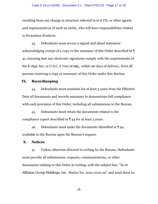#### Case 5:15-cv-01005 Document 2-1 Filed 07/01/15 Page 17 of 20

resulting from any change in structure referred to in § [VII,](#page-13-1) or other agents and representatives of such an entity, who will have responsibilities related to Protection Products.

43. Defendants must secure a signed and dated statement acknowledging receipt of a copy or the summary of this Order described in ¶ 41, ensuring that any electronic signatures comply with the requirements of the E-Sign Act, 15 U.S.C. § 7001 *et seq.*, within 90 days of delivery, from all persons receiving a copy or summary of this Order under this Section.

#### **IX. Recordkeeping**

<span id="page-16-0"></span>44. Defendants must maintain for at least 5 years from the Effective Date all documents and records necessary to demonstrate full compliance with each provision of this Order, including all submissions to the Bureau.

45. Defendants must retain the documents related to the compliance report described in ¶ [44](#page-16-0) for at least 5 years.

46. Defendants must make the documents identified in ¶ [44](#page-16-0) available to the Bureau upon the Bureau's request.

## **X. Notices**

47. Unless otherwise directed in writing by the Bureau, Defendants must provide all submissions, requests, communications, or other documents relating to this Order in writing, with the subject line, "*In re Affinion Group Holdings, Inc.* Matter No. 2012-0110-02" and send them to: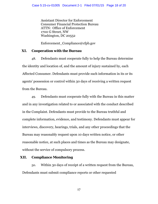Assistant Director for Enforcement Consumer Financial Protection Bureau ATTN: Office of Enforcement 1700 G Street, NW Washington, DC 20552

Enforcement Compliance@cfpb.gov

# **XI. Cooperation with the Bureau**

48. Defendants must cooperate fully to help the Bureau determine the identity and location of, and the amount of injury sustained by, each Affected Consumer. Defendants must provide such information in its or its agents' possession or control within 30 days of receiving a written request from the Bureau.

49. Defendants must cooperate fully with the Bureau in this matter and in any investigation related to or associated with the conduct described in the Complaint. Defendants must provide to the Bureau truthful and complete information, evidence, and testimony. Defendants must appear for interviews, discovery, hearings, trials, and any other proceedings that the Bureau may reasonably request upon 10 days written notice, or other reasonable notice, at such places and times as the Bureau may designate, without the service of compulsory process.

# <span id="page-17-0"></span>**XII. Compliance Monitoring**

50. Within 30 days of receipt of a written request from the Bureau, Defendants must submit compliance reports or other requested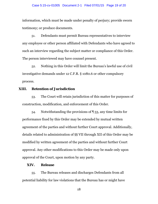#### Case 5:15-cv-01005 Document 2-1 Filed 07/01/15 Page 19 of 20

information, which must be made under penalty of perjury; provide sworn testimony; or produce documents.

51. Defendants must permit Bureau representatives to interview any employee or other person affiliated with Defendants who have agreed to such an interview regarding the subject matter or compliance of this Order. The person interviewed may have counsel present.

52. Nothing in this Order will limit the Bureau's lawful use of civil investigative demands under 12 C.F.R. § 1080.6 or other compulsory process.

## **XIII. Retention of Jurisdiction**

<span id="page-18-0"></span>53. The Court will retain jurisdiction of this matter for purposes of construction, modification, and enforcement of this Order.

54. Notwithstanding the provisions of ¶ [53,](#page-18-0) any time limits for performance fixed by this Order may be extended by mutual written agreement of the parties and without further Court approval. Additionally, details related to administration of §§ [VII](#page-13-1) through [XII](#page-17-0) of this Order may be modified by written agreement of the parties and without further Court approval. Any other modifications to this Order may be made only upon approval of the Court, upon motion by any party.

## **XIV. Release**

55. The Bureau releases and discharges Defendants from all potential liability for law violations that the Bureau has or might have